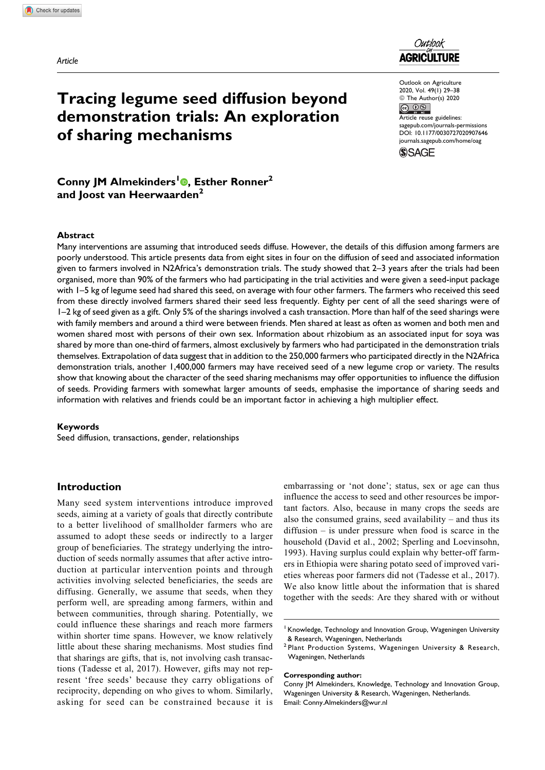

Outlook on Agriculture 2020, Vol. 49(1) 29–38 © The Author(s) 2020

 $\circ$   $\circ$ Article reuse guidelines: [sagepub.com/journals-permissions](https://sagepub.com/journals-permissions) [DOI: 10.1177/0030727020907646](https://doi.org/10.1177/0030727020907646) [journals.sagepub.com/home/oag](http://journals.sagepub.com/home/oag)**SSAGE** 

Conny JM Almekinders<sup>1</sup><sup>®</sup>, Esther Ronner<sup>2</sup> and Joost van Heerwaarden<sup>2</sup>

of sharing mechanisms

Tracing legume seed diffusion beyond demonstration trials: An exploration

### Abstract

Many interventions are assuming that introduced seeds diffuse. However, the details of this diffusion among farmers are poorly understood. This article presents data from eight sites in four on the diffusion of seed and associated information given to farmers involved in N2Africa's demonstration trials. The study showed that 2–3 years after the trials had been organised, more than 90% of the farmers who had participating in the trial activities and were given a seed-input package with 1–5 kg of legume seed had shared this seed, on average with four other farmers. The farmers who received this seed from these directly involved farmers shared their seed less frequently. Eighty per cent of all the seed sharings were of 1–2 kg of seed given as a gift. Only 5% of the sharings involved a cash transaction. More than half of the seed sharings were with family members and around a third were between friends. Men shared at least as often as women and both men and women shared most with persons of their own sex. Information about rhizobium as an associated input for soya was shared by more than one-third of farmers, almost exclusively by farmers who had participated in the demonstration trials themselves. Extrapolation of data suggest that in addition to the 250,000 farmers who participated directly in the N2Africa demonstration trials, another 1,400,000 farmers may have received seed of a new legume crop or variety. The results show that knowing about the character of the seed sharing mechanisms may offer opportunities to influence the diffusion of seeds. Providing farmers with somewhat larger amounts of seeds, emphasise the importance of sharing seeds and information with relatives and friends could be an important factor in achieving a high multiplier effect.

### Keywords

Seed diffusion, transactions, gender, relationships

### Introduction

Many seed system interventions introduce improved seeds, aiming at a variety of goals that directly contribute to a better livelihood of smallholder farmers who are assumed to adopt these seeds or indirectly to a larger group of beneficiaries. The strategy underlying the introduction of seeds normally assumes that after active introduction at particular intervention points and through activities involving selected beneficiaries, the seeds are diffusing. Generally, we assume that seeds, when they perform well, are spreading among farmers, within and between communities, through sharing. Potentially, we could influence these sharings and reach more farmers within shorter time spans. However, we know relatively little about these sharing mechanisms. Most studies find that sharings are gifts, that is, not involving cash transactions (Tadesse et al, 2017). However, gifts may not represent 'free seeds' because they carry obligations of reciprocity, depending on who gives to whom. Similarly, asking for seed can be constrained because it is

embarrassing or 'not done'; status, sex or age can thus influence the access to seed and other resources be important factors. Also, because in many crops the seeds are also the consumed grains, seed availability – and thus its diffusion – is under pressure when food is scarce in the household (David et al., 2002; Sperling and Loevinsohn, 1993). Having surplus could explain why better-off farmers in Ethiopia were sharing potato seed of improved varieties whereas poor farmers did not (Tadesse et al., 2017). We also know little about the information that is shared together with the seeds: Are they shared with or without

#### Corresponding author:

 $<sup>1</sup>$  Knowledge, Technology and Innovation Group, Wageningen University</sup> & Research, Wageningen, Netherlands

<sup>2</sup> Plant Production Systems, Wageningen University & Research, Wageningen, Netherlands

Conny JM Almekinders, Knowledge, Technology and Innovation Group, Wageningen University & Research, Wageningen, Netherlands. Email: [Conny.Almekinders@wur.nl](mailto:Conny.Almekinders@wur.nl)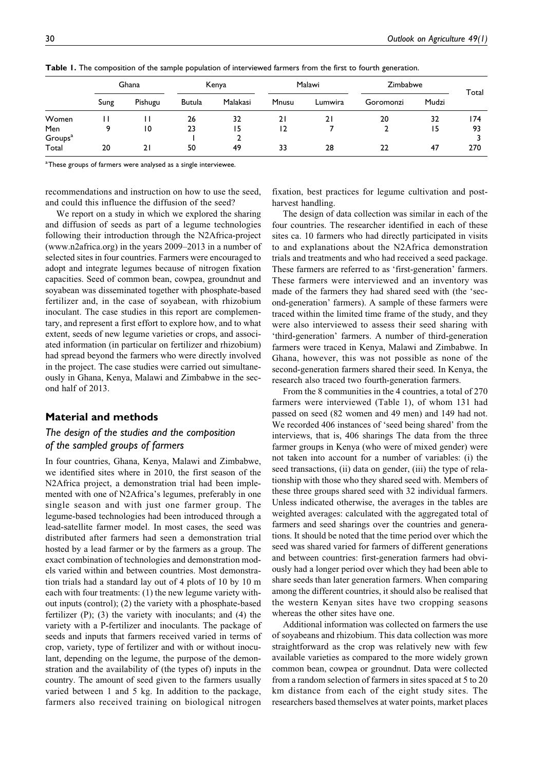|                              | Ghana |         | Kenya  |          | Malawi         |         | Zimbabwe  |       | Total |
|------------------------------|-------|---------|--------|----------|----------------|---------|-----------|-------|-------|
|                              | Sung  | Pishugu | Butula | Malakasi | Mnusu          | Lumwira | Goromonzi | Mudzi |       |
| Women                        |       |         | 26     | 32       | 21             | 21      | 20        | 32    | 174   |
| Men                          | 9     | 10      | 23     | 15       | $\overline{2}$ |         |           | 15    | 93    |
| Groups <sup>a</sup><br>Total | 20    | 21      | 50     | 49       | 33             | 28      | 22        | 47    | 270   |

Table 1. The composition of the sample population of interviewed farmers from the first to fourth generation.

 $^{\rm a}$ These groups of farmers were analysed as a single interviewee.

recommendations and instruction on how to use the seed, and could this influence the diffusion of the seed?

We report on a study in which we explored the sharing and diffusion of seeds as part of a legume technologies following their introduction through the N2Africa-project ([www.n2africa.org](http://www.n2africa.org)) in the years 2009–2013 in a number of selected sites in four countries. Farmers were encouraged to adopt and integrate legumes because of nitrogen fixation capacities. Seed of common bean, cowpea, groundnut and soyabean was disseminated together with phosphate-based fertilizer and, in the case of soyabean, with rhizobium inoculant. The case studies in this report are complementary, and represent a first effort to explore how, and to what extent, seeds of new legume varieties or crops, and associated information (in particular on fertilizer and rhizobium) had spread beyond the farmers who were directly involved in the project. The case studies were carried out simultaneously in Ghana, Kenya, Malawi and Zimbabwe in the second half of 2013.

## Material and methods

# The design of the studies and the composition of the sampled groups of farmers

In four countries, Ghana, Kenya, Malawi and Zimbabwe, we identified sites where in 2010, the first season of the N2Africa project, a demonstration trial had been implemented with one of N2Africa's legumes, preferably in one single season and with just one farmer group. The legume-based technologies had been introduced through a lead-satellite farmer model. In most cases, the seed was distributed after farmers had seen a demonstration trial hosted by a lead farmer or by the farmers as a group. The exact combination of technologies and demonstration models varied within and between countries. Most demonstration trials had a standard lay out of 4 plots of 10 by 10 m each with four treatments: (1) the new legume variety without inputs (control); (2) the variety with a phosphate-based fertilizer (P); (3) the variety with inoculants; and (4) the variety with a P-fertilizer and inoculants. The package of seeds and inputs that farmers received varied in terms of crop, variety, type of fertilizer and with or without inoculant, depending on the legume, the purpose of the demonstration and the availability of (the types of) inputs in the country. The amount of seed given to the farmers usually varied between 1 and 5 kg. In addition to the package, farmers also received training on biological nitrogen

fixation, best practices for legume cultivation and postharvest handling.

The design of data collection was similar in each of the four countries. The researcher identified in each of these sites ca. 10 farmers who had directly participated in visits to and explanations about the N2Africa demonstration trials and treatments and who had received a seed package. These farmers are referred to as 'first-generation' farmers. These farmers were interviewed and an inventory was made of the farmers they had shared seed with (the 'second-generation' farmers). A sample of these farmers were traced within the limited time frame of the study, and they were also interviewed to assess their seed sharing with 'third-generation' farmers. A number of third-generation farmers were traced in Kenya, Malawi and Zimbabwe. In Ghana, however, this was not possible as none of the second-generation farmers shared their seed. In Kenya, the research also traced two fourth-generation farmers.

From the 8 communities in the 4 countries, a total of 270 farmers were interviewed (Table 1), of whom 131 had passed on seed (82 women and 49 men) and 149 had not. We recorded 406 instances of 'seed being shared' from the interviews, that is, 406 sharings The data from the three farmer groups in Kenya (who were of mixed gender) were not taken into account for a number of variables: (i) the seed transactions, (ii) data on gender, (iii) the type of relationship with those who they shared seed with. Members of these three groups shared seed with 32 individual farmers. Unless indicated otherwise, the averages in the tables are weighted averages: calculated with the aggregated total of farmers and seed sharings over the countries and generations. It should be noted that the time period over which the seed was shared varied for farmers of different generations and between countries: first-generation farmers had obviously had a longer period over which they had been able to share seeds than later generation farmers. When comparing among the different countries, it should also be realised that the western Kenyan sites have two cropping seasons whereas the other sites have one.

Additional information was collected on farmers the use of soyabeans and rhizobium. This data collection was more straightforward as the crop was relatively new with few available varieties as compared to the more widely grown common bean, cowpea or groundnut. Data were collected from a random selection of farmers in sites spaced at 5 to 20 km distance from each of the eight study sites. The researchers based themselves at water points, market places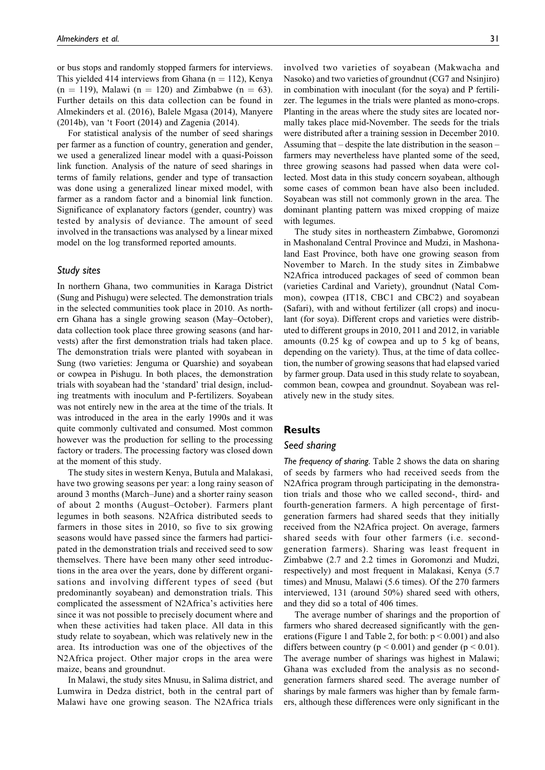or bus stops and randomly stopped farmers for interviews. This yielded 414 interviews from Ghana ( $n = 112$ ), Kenya  $(n = 119)$ , Malawi  $(n = 120)$  and Zimbabwe  $(n = 63)$ . Further details on this data collection can be found in Almekinders et al. (2016), Balele Mgasa (2014), Manyere (2014b), van 't Foort (2014) and Zagenia (2014).

For statistical analysis of the number of seed sharings per farmer as a function of country, generation and gender, we used a generalized linear model with a quasi-Poisson link function. Analysis of the nature of seed sharings in terms of family relations, gender and type of transaction was done using a generalized linear mixed model, with farmer as a random factor and a binomial link function. Significance of explanatory factors (gender, country) was tested by analysis of deviance. The amount of seed involved in the transactions was analysed by a linear mixed model on the log transformed reported amounts.

### Study sites

In northern Ghana, two communities in Karaga District (Sung and Pishugu) were selected. The demonstration trials in the selected communities took place in 2010. As northern Ghana has a single growing season (May–October), data collection took place three growing seasons (and harvests) after the first demonstration trials had taken place. The demonstration trials were planted with soyabean in Sung (two varieties: Jenguma or Quarshie) and soyabean or cowpea in Pishugu. In both places, the demonstration trials with soyabean had the 'standard' trial design, including treatments with inoculum and P-fertilizers. Soyabean was not entirely new in the area at the time of the trials. It was introduced in the area in the early 1990s and it was quite commonly cultivated and consumed. Most common however was the production for selling to the processing factory or traders. The processing factory was closed down at the moment of this study.

The study sites in western Kenya, Butula and Malakasi, have two growing seasons per year: a long rainy season of around 3 months (March–June) and a shorter rainy season of about 2 months (August–October). Farmers plant legumes in both seasons. N2Africa distributed seeds to farmers in those sites in 2010, so five to six growing seasons would have passed since the farmers had participated in the demonstration trials and received seed to sow themselves. There have been many other seed introductions in the area over the years, done by different organisations and involving different types of seed (but predominantly soyabean) and demonstration trials. This complicated the assessment of N2Africa's activities here since it was not possible to precisely document where and when these activities had taken place. All data in this study relate to soyabean, which was relatively new in the area. Its introduction was one of the objectives of the N2Africa project. Other major crops in the area were maize, beans and groundnut.

In Malawi, the study sites Mnusu, in Salima district, and Lumwira in Dedza district, both in the central part of Malawi have one growing season. The N2Africa trials

involved two varieties of soyabean (Makwacha and Nasoko) and two varieties of groundnut (CG7 and Nsinjiro) in combination with inoculant (for the soya) and P fertilizer. The legumes in the trials were planted as mono-crops. Planting in the areas where the study sites are located normally takes place mid-November. The seeds for the trials were distributed after a training session in December 2010. Assuming that – despite the late distribution in the season – farmers may nevertheless have planted some of the seed, three growing seasons had passed when data were collected. Most data in this study concern soyabean, although some cases of common bean have also been included. Soyabean was still not commonly grown in the area. The dominant planting pattern was mixed cropping of maize with legumes.

The study sites in northeastern Zimbabwe, Goromonzi in Mashonaland Central Province and Mudzi, in Mashonaland East Province, both have one growing season from November to March. In the study sites in Zimbabwe N2Africa introduced packages of seed of common bean (varieties Cardinal and Variety), groundnut (Natal Common), cowpea (IT18, CBC1 and CBC2) and soyabean (Safari), with and without fertilizer (all crops) and inoculant (for soya). Different crops and varieties were distributed to different groups in 2010, 2011 and 2012, in variable amounts (0.25 kg of cowpea and up to 5 kg of beans, depending on the variety). Thus, at the time of data collection, the number of growing seasons that had elapsed varied by farmer group. Data used in this study relate to soyabean, common bean, cowpea and groundnut. Soyabean was relatively new in the study sites.

## Results

#### Seed sharing

The frequency of sharing. Table 2 shows the data on sharing of seeds by farmers who had received seeds from the N2Africa program through participating in the demonstration trials and those who we called second-, third- and fourth-generation farmers. A high percentage of firstgeneration farmers had shared seeds that they initially received from the N2Africa project. On average, farmers shared seeds with four other farmers (i.e. secondgeneration farmers). Sharing was least frequent in Zimbabwe (2.7 and 2.2 times in Goromonzi and Mudzi, respectively) and most frequent in Malakasi, Kenya (5.7 times) and Mnusu, Malawi (5.6 times). Of the 270 farmers interviewed, 131 (around 50%) shared seed with others, and they did so a total of 406 times.

The average number of sharings and the proportion of farmers who shared decreased significantly with the generations (Figure 1 and Table 2, for both:  $p < 0.001$ ) and also differs between country ( $p < 0.001$ ) and gender ( $p < 0.01$ ). The average number of sharings was highest in Malawi; Ghana was excluded from the analysis as no secondgeneration farmers shared seed. The average number of sharings by male farmers was higher than by female farmers, although these differences were only significant in the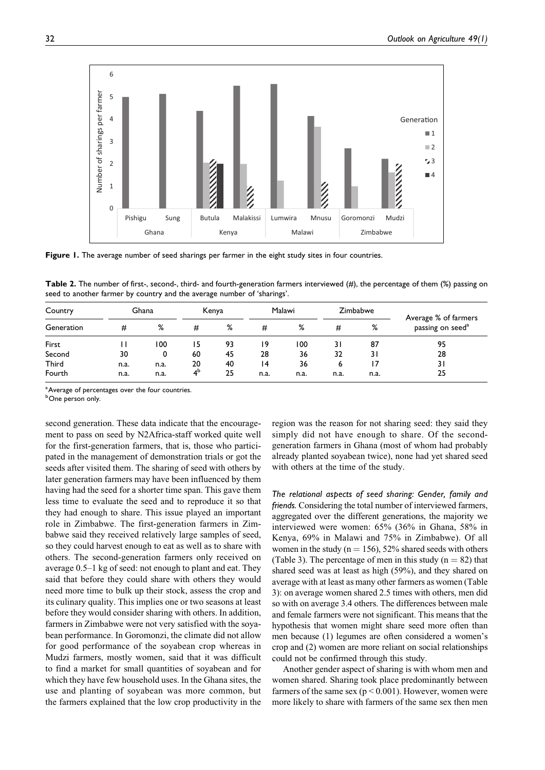

Figure 1. The average number of seed sharings per farmer in the eight study sites in four countries.

Table 2. The number of first-, second-, third- and fourth-generation farmers interviewed (#), the percentage of them (%) passing on seed to another farmer by country and the average number of 'sharings'.

| Country      |      | Ghana |                | Kenya |      | Malawi |      | Zimbabwe |                                                      |
|--------------|------|-------|----------------|-------|------|--------|------|----------|------------------------------------------------------|
| Generation   | #    | %     | #              | %     | #    | %      | #    | %        | Average % of farmers<br>passing on seed <sup>a</sup> |
| First        |      | 100   | 15             | 93    | 19   | 100    | 31   | 87       | 95                                                   |
| Second       | 30   | 0     | 60             | 45    | 28   | 36     | 32   | 31       | 28                                                   |
| <b>Third</b> | n.a. | n.a.  | 20             | 40    | 14   | 36     | 6    |          | 31                                                   |
| Fourth       | n.a. | n.a.  | 4 <sup>b</sup> | 25    | n.a. | n.a.   | n.a. | n.a.     | 25                                                   |

<sup>a</sup> Average of percentages over the four countries.

<sup>b</sup>One person only.

second generation. These data indicate that the encouragement to pass on seed by N2Africa-staff worked quite well for the first-generation farmers, that is, those who participated in the management of demonstration trials or got the seeds after visited them. The sharing of seed with others by later generation farmers may have been influenced by them having had the seed for a shorter time span. This gave them less time to evaluate the seed and to reproduce it so that they had enough to share. This issue played an important role in Zimbabwe. The first-generation farmers in Zimbabwe said they received relatively large samples of seed, so they could harvest enough to eat as well as to share with others. The second-generation farmers only received on average 0.5–1 kg of seed: not enough to plant and eat. They said that before they could share with others they would need more time to bulk up their stock, assess the crop and its culinary quality. This implies one or two seasons at least before they would consider sharing with others. In addition, farmers in Zimbabwe were not very satisfied with the soyabean performance. In Goromonzi, the climate did not allow for good performance of the soyabean crop whereas in Mudzi farmers, mostly women, said that it was difficult to find a market for small quantities of soyabean and for which they have few household uses. In the Ghana sites, the use and planting of soyabean was more common, but the farmers explained that the low crop productivity in the region was the reason for not sharing seed: they said they simply did not have enough to share. Of the secondgeneration farmers in Ghana (most of whom had probably already planted soyabean twice), none had yet shared seed with others at the time of the study.

The relational aspects of seed sharing: Gender, family and friends. Considering the total number of interviewed farmers, aggregated over the different generations, the majority we interviewed were women: 65% (36% in Ghana, 58% in Kenya, 69% in Malawi and 75% in Zimbabwe). Of all women in the study ( $n = 156$ ), 52% shared seeds with others (Table 3). The percentage of men in this study ( $n = 82$ ) that shared seed was at least as high (59%), and they shared on average with at least as many other farmers as women (Table 3): on average women shared 2.5 times with others, men did so with on average 3.4 others. The differences between male and female farmers were not significant. This means that the hypothesis that women might share seed more often than men because (1) legumes are often considered a women's crop and (2) women are more reliant on social relationships could not be confirmed through this study.

Another gender aspect of sharing is with whom men and women shared. Sharing took place predominantly between farmers of the same sex ( $p < 0.001$ ). However, women were more likely to share with farmers of the same sex then men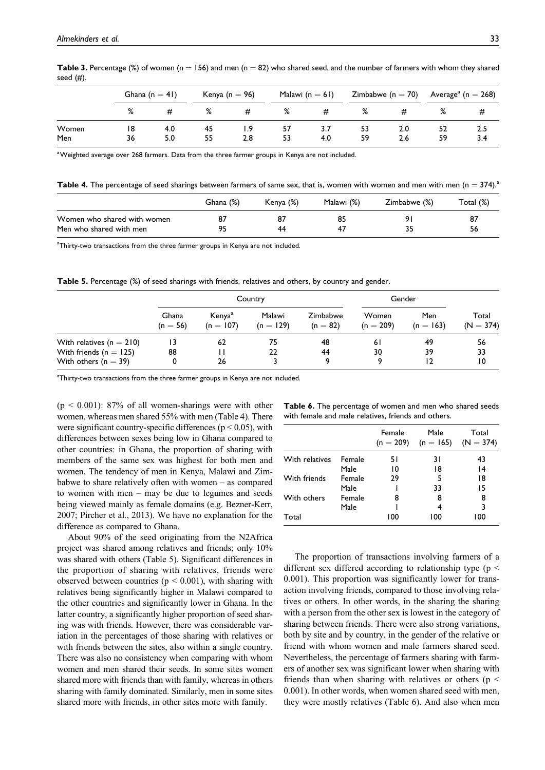|       |    | Ghana $(n = 41)$ |    | Kenya (n $= 96$ ) |    | Malawi ( $n = 61$ ) |    | Zimbabwe (n $= 70$ ) |    | Average <sup>a</sup> (n $= 268$ ) |  |
|-------|----|------------------|----|-------------------|----|---------------------|----|----------------------|----|-----------------------------------|--|
|       | %  | #                | %  | #                 | %  | #                   | ℅  |                      | ℅  |                                   |  |
| Women | 18 | 4.0              | 45 | l.9               | 57 | 3.1                 | 53 | 2.0                  | 52 | 2.5                               |  |
| Men   | 36 | 5.0              | 55 | 2.8               | 53 | 4.0                 | 59 | 2.6                  | 59 | 3.4                               |  |

Table 3. Percentage (%) of women (n = 156) and men (n = 82) who shared seed, and the number of farmers with whom they shared seed  $(H)$ .

 $^{\rm a}$ Weighted average over 268 farmers. Data from the three farmer groups in Kenya are not included.

**Table 4.** The percentage of seed sharings between farmers of same sex, that is, women with women and men with men (n = 374).<sup>2</sup>

|                             | Ghana (%) | Kenya (%) | Malawi (%) | Zimbabwe (%) | Total (%) |
|-----------------------------|-----------|-----------|------------|--------------|-----------|
| Women who shared with women |           |           | 85         | ۹I           | 87        |
| Men who shared with men     | 95        | 44        | -47        |              | 56        |

<sup>a</sup>Thirty-two transactions from the three farmer groups in Kenya are not included.

Table 5. Percentage (%) of seed sharings with friends, relatives and others, by country and gender.

|                            |                     | Country                           |                       |                        |                      | Gender             |                      |  |
|----------------------------|---------------------|-----------------------------------|-----------------------|------------------------|----------------------|--------------------|----------------------|--|
|                            | Ghana<br>$(n = 56)$ | Kenya <sup>a</sup><br>$(n = 107)$ | Malawi<br>$(n = 129)$ | Zimbabwe<br>$(n = 82)$ | Women<br>$(n = 209)$ | Men<br>$(n = 163)$ | Total<br>$(N = 374)$ |  |
| With relatives $(n = 210)$ |                     | 62                                | 75                    | 48                     | 6 I                  | 49                 | 56                   |  |
| With friends ( $n = 125$ ) | 88                  |                                   | 22                    | 44                     | 30                   | 39                 | 33                   |  |
| With others ( $n = 39$ )   | 0                   | 26                                |                       | a                      | Q                    |                    | 10                   |  |

<sup>a</sup>Thirty-two transactions from the three farmer groups in Kenya are not included.

 $(p < 0.001)$ : 87% of all women-sharings were with other women, whereas men shared 55% with men (Table 4). There were significant country-specific differences ( $p < 0.05$ ), with differences between sexes being low in Ghana compared to other countries: in Ghana, the proportion of sharing with members of the same sex was highest for both men and women. The tendency of men in Kenya, Malawi and Zimbabwe to share relatively often with women – as compared to women with men – may be due to legumes and seeds being viewed mainly as female domains (e.g. Bezner-Kerr, 2007; Pircher et al., 2013). We have no explanation for the difference as compared to Ghana.

About 90% of the seed originating from the N2Africa project was shared among relatives and friends; only 10% was shared with others (Table 5). Significant differences in the proportion of sharing with relatives, friends were observed between countries ( $p \le 0.001$ ), with sharing with relatives being significantly higher in Malawi compared to the other countries and significantly lower in Ghana. In the latter country, a significantly higher proportion of seed sharing was with friends. However, there was considerable variation in the percentages of those sharing with relatives or with friends between the sites, also within a single country. There was also no consistency when comparing with whom women and men shared their seeds. In some sites women shared more with friends than with family, whereas in others sharing with family dominated. Similarly, men in some sites shared more with friends, in other sites more with family.

Table 6. The percentage of women and men who shared seeds with female and male relatives, friends and others.

|                |        | Female<br>$(n = 209)$ | Male<br>$(n = 165)$ | Total<br>$(N = 374)$ |
|----------------|--------|-----------------------|---------------------|----------------------|
| With relatives | Female | 51                    | 3 I                 | 43                   |
|                | Male   | 10                    | 18                  | 14                   |
| With friends   | Female | 29                    | 5                   | 18                   |
|                | Male   |                       | 33                  | 15                   |
| With others    | Female | 8                     | 8                   | 8                    |
|                | Male   |                       | 4                   | 3                    |
| Total          |        | 100                   | 100                 | 100                  |

The proportion of transactions involving farmers of a different sex differed according to relationship type ( $p <$ 0.001). This proportion was significantly lower for transaction involving friends, compared to those involving relatives or others. In other words, in the sharing the sharing with a person from the other sex is lowest in the category of sharing between friends. There were also strong variations, both by site and by country, in the gender of the relative or friend with whom women and male farmers shared seed. Nevertheless, the percentage of farmers sharing with farmers of another sex was significant lower when sharing with friends than when sharing with relatives or others ( $p <$ 0.001). In other words, when women shared seed with men, they were mostly relatives (Table 6). And also when men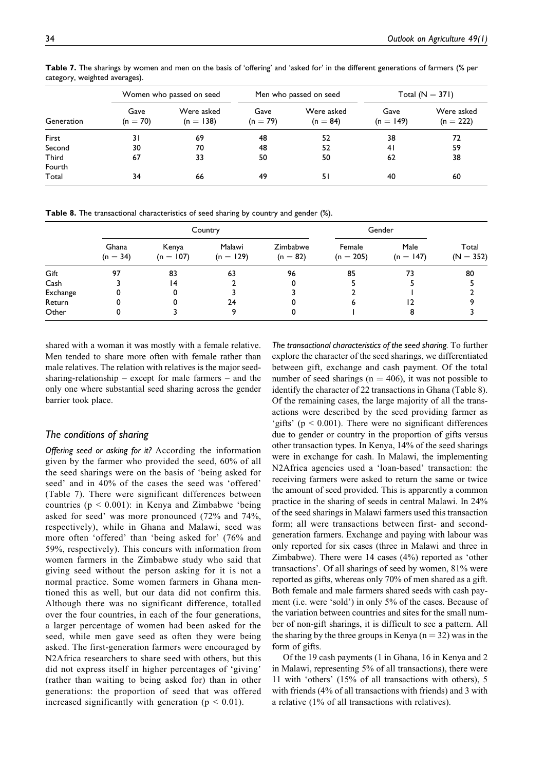|            |                    | Women who passed on seed  |                    | Men who passed on seed   | Total $(N = 371)$   |                           |
|------------|--------------------|---------------------------|--------------------|--------------------------|---------------------|---------------------------|
| Generation | Gave<br>$(n = 70)$ | Were asked<br>$(n = 138)$ | Gave<br>$(n = 79)$ | Were asked<br>$(n = 84)$ | Gave<br>$(n = 149)$ | Were asked<br>$(n = 222)$ |
| First      | 31                 | 69                        | 48                 | 52                       | 38                  | 72                        |
| Second     | 30                 | 70                        | 48                 | 52                       | 41                  | 59                        |
| Third      | 67                 | 33                        | 50                 | 50                       | 62                  | 38                        |
| Fourth     |                    |                           |                    |                          |                     |                           |
| Total      | 34                 | 66                        | 49                 | 51                       | 40                  | 60                        |
|            |                    |                           |                    |                          |                     |                           |

Table 7. The sharings by women and men on the basis of 'offering' and 'asked for' in the different generations of farmers (% per category, weighted averages).

Table 8. The transactional characteristics of seed sharing by country and gender (%).

|          |                     |                      | Country               | Gender                 |                       |                     |                      |
|----------|---------------------|----------------------|-----------------------|------------------------|-----------------------|---------------------|----------------------|
|          | Ghana<br>$(n = 34)$ | Kenya<br>$(n = 107)$ | Malawi<br>$(n = 129)$ | Zimbabwe<br>$(n = 82)$ | Female<br>$(n = 205)$ | Male<br>$(n = 147)$ | Total<br>$(N = 352)$ |
| Gift     | 97                  | 83                   | 63                    | 96                     | 85                    | 73                  | 80                   |
| Cash     |                     | 14                   |                       |                        |                       |                     |                      |
| Exchange |                     |                      |                       |                        |                       |                     |                      |
| Return   |                     |                      | 24                    |                        | ь                     |                     |                      |
| Other    |                     |                      |                       |                        |                       |                     |                      |

shared with a woman it was mostly with a female relative. Men tended to share more often with female rather than male relatives. The relation with relatives is the major seedsharing-relationship – except for male farmers – and the only one where substantial seed sharing across the gender barrier took place.

## The conditions of sharing

Offering seed or asking for it? According the information given by the farmer who provided the seed, 60% of all the seed sharings were on the basis of 'being asked for seed' and in 40% of the cases the seed was 'offered' (Table 7). There were significant differences between countries ( $p < 0.001$ ): in Kenya and Zimbabwe 'being asked for seed' was more pronounced (72% and 74%, respectively), while in Ghana and Malawi, seed was more often 'offered' than 'being asked for' (76% and 59%, respectively). This concurs with information from women farmers in the Zimbabwe study who said that giving seed without the person asking for it is not a normal practice. Some women farmers in Ghana mentioned this as well, but our data did not confirm this. Although there was no significant difference, totalled over the four countries, in each of the four generations, a larger percentage of women had been asked for the seed, while men gave seed as often they were being asked. The first-generation farmers were encouraged by N2Africa researchers to share seed with others, but this did not express itself in higher percentages of 'giving' (rather than waiting to being asked for) than in other generations: the proportion of seed that was offered increased significantly with generation ( $p < 0.01$ ).

The transactional characteristics of the seed sharing. To further explore the character of the seed sharings, we differentiated between gift, exchange and cash payment. Of the total number of seed sharings ( $n = 406$ ), it was not possible to identify the character of 22 transactions in Ghana (Table 8). Of the remaining cases, the large majority of all the transactions were described by the seed providing farmer as 'gifts' ( $p < 0.001$ ). There were no significant differences due to gender or country in the proportion of gifts versus other transaction types. In Kenya, 14% of the seed sharings were in exchange for cash. In Malawi, the implementing N2Africa agencies used a 'loan-based' transaction: the receiving farmers were asked to return the same or twice the amount of seed provided. This is apparently a common practice in the sharing of seeds in central Malawi. In 24% of the seed sharings in Malawi farmers used this transaction form; all were transactions between first- and secondgeneration farmers. Exchange and paying with labour was only reported for six cases (three in Malawi and three in Zimbabwe). There were 14 cases (4%) reported as 'other transactions'. Of all sharings of seed by women, 81% were reported as gifts, whereas only 70% of men shared as a gift. Both female and male farmers shared seeds with cash payment (i.e. were 'sold') in only 5% of the cases. Because of the variation between countries and sites for the small number of non-gift sharings, it is difficult to see a pattern. All the sharing by the three groups in Kenya  $(n = 32)$  was in the form of gifts.

Of the 19 cash payments (1 in Ghana, 16 in Kenya and 2 in Malawi, representing 5% of all transactions), there were 11 with 'others' (15% of all transactions with others), 5 with friends (4% of all transactions with friends) and 3 with a relative (1% of all transactions with relatives).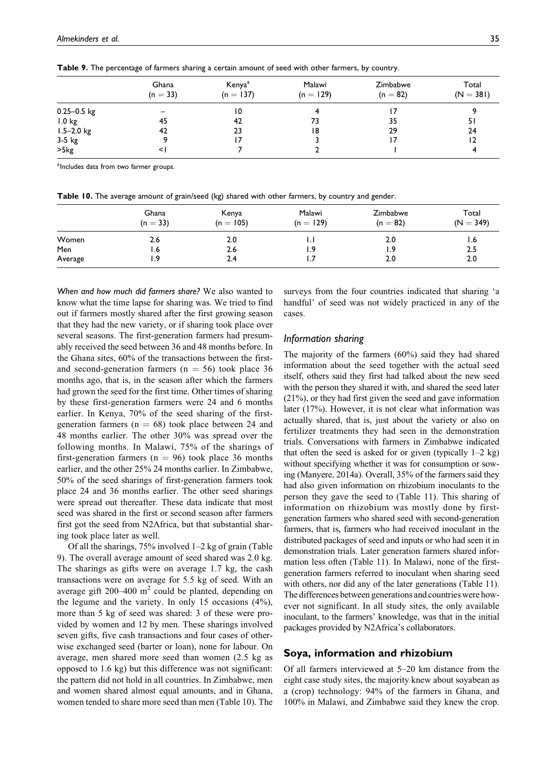|                 | Ghana<br>$(n = 33)$ | Kenya <sup>a</sup><br>$(n = 137)$ | Malawi<br>$(n = 129)$ | Zimbabwe<br>$(n = 82)$ | Total<br>$(N = 381)$ |
|-----------------|---------------------|-----------------------------------|-----------------------|------------------------|----------------------|
| $0.25 - 0.5$ kg |                     | 10                                |                       |                        |                      |
| 1.0 kg          | 45                  | 42                                | 73                    | 35                     | 51                   |
| $1.5 - 2.0$ kg  | 42                  | 23                                | 18                    | 29                     | 24                   |
| $3-5$ kg        |                     |                                   |                       |                        | 12                   |
| >5kg            |                     |                                   |                       |                        |                      |

Table 9. The percentage of farmers sharing a certain amount of seed with other farmers, by country.

<sup>a</sup> Includes data from two farmer groups.

Table 10. The average amount of grain/seed (kg) shared with other farmers, by country and gender.

|         | Ghana<br>$(n = 33)$ | Kenya<br>$(n = 105)$ | Malawi<br>$(n = 129)$ | Zimbabwe<br>$(n = 82)$ | Total<br>$(N = 349)$ |
|---------|---------------------|----------------------|-----------------------|------------------------|----------------------|
| Women   | 2.6                 | 2.0                  | . .                   | 2.0                    | 1.6                  |
| Men     | 1.6                 | 2.6                  | ۰.9                   | 1.9                    | 2.5                  |
| Average | و.,                 | 2.4                  |                       | 2.0                    | 2.0                  |

When and how much did farmers share? We also wanted to know what the time lapse for sharing was. We tried to find out if farmers mostly shared after the first growing season that they had the new variety, or if sharing took place over several seasons. The first-generation farmers had presumably received the seed between 36 and 48 months before. In the Ghana sites, 60% of the transactions between the firstand second-generation farmers ( $n = 56$ ) took place 36 months ago, that is, in the season after which the farmers had grown the seed for the first time. Other times of sharing by these first-generation farmers were 24 and 6 months earlier. In Kenya, 70% of the seed sharing of the firstgeneration farmers ( $n = 68$ ) took place between 24 and 48 months earlier. The other 30% was spread over the following months. In Malawi, 75% of the sharings of first-generation farmers ( $n = 96$ ) took place 36 months earlier, and the other 25% 24 months earlier. In Zimbabwe, 50% of the seed sharings of first-generation farmers took place 24 and 36 months earlier. The other seed sharings were spread out thereafter. These data indicate that most seed was shared in the first or second season after farmers first got the seed from N2Africa, but that substantial sharing took place later as well.

Of all the sharings, 75% involved 1–2 kg of grain (Table 9). The overall average amount of seed shared was 2.0 kg. The sharings as gifts were on average 1.7 kg, the cash transactions were on average for 5.5 kg of seed. With an average gift  $200-400 \text{ m}^2$  could be planted, depending on the legume and the variety. In only 15 occasions (4%), more than 5 kg of seed was shared: 3 of these were provided by women and 12 by men. These sharings involved seven gifts, five cash transactions and four cases of otherwise exchanged seed (barter or loan), none for labour. On average, men shared more seed than women (2.5 kg as opposed to 1.6 kg) but this difference was not significant: the pattern did not hold in all countries. In Zimbabwe, men and women shared almost equal amounts, and in Ghana, women tended to share more seed than men (Table 10). The

surveys from the four countries indicated that sharing 'a handful' of seed was not widely practiced in any of the cases.

### Information sharing

The majority of the farmers (60%) said they had shared information about the seed together with the actual seed itself, others said they first had talked about the new seed with the person they shared it with, and shared the seed later (21%), or they had first given the seed and gave information later (17%). However, it is not clear what information was actually shared, that is, just about the variety or also on fertilizer treatments they had seen in the demonstration trials. Conversations with farmers in Zimbabwe indicated that often the seed is asked for or given (typically  $1-2$  kg) without specifying whether it was for consumption or sowing (Manyere, 2014a). Overall, 35% of the farmers said they had also given information on rhizobium inoculants to the person they gave the seed to (Table 11). This sharing of information on rhizobium was mostly done by firstgeneration farmers who shared seed with second-generation farmers, that is, farmers who had received inoculant in the distributed packages of seed and inputs or who had seen it in demonstration trials. Later generation farmers shared information less often (Table 11). In Malawi, none of the firstgeneration farmers referred to inoculant when sharing seed with others, nor did any of the later generations (Table 11). The differences between generations and countries were however not significant. In all study sites, the only available inoculant, to the farmers' knowledge, was that in the initial packages provided by N2Africa's collaborators.

## Soya, information and rhizobium

Of all farmers interviewed at 5–20 km distance from the eight case study sites, the majority knew about soyabean as a (crop) technology: 94% of the farmers in Ghana, and 100% in Malawi, and Zimbabwe said they knew the crop.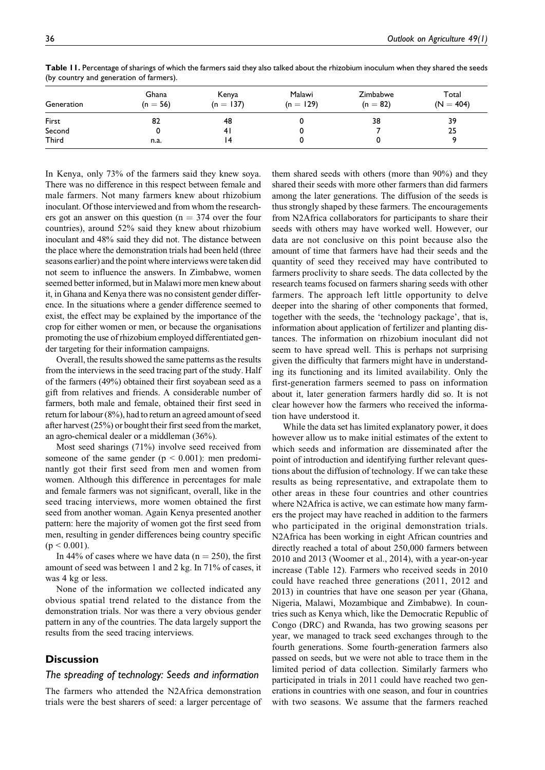| Generation | Ghana<br>$(n = 56)$ | Kenya<br>$(n = 137)$ | Malawi<br>$(n = 129)$ | Zimbabwe<br>$(n = 82)$ | Total<br>$(N = 404)$ |
|------------|---------------------|----------------------|-----------------------|------------------------|----------------------|
| First      | 82                  | 48                   |                       | 38                     | 39                   |
| Second     |                     | 4 I                  |                       |                        | 25                   |
| Third      | n.a.                |                      |                       |                        |                      |

Table 11. Percentage of sharings of which the farmers said they also talked about the rhizobium inoculum when they shared the seeds (by country and generation of farmers).

In Kenya, only 73% of the farmers said they knew soya. There was no difference in this respect between female and male farmers. Not many farmers knew about rhizobium inoculant. Of those interviewed and from whom the researchers got an answer on this question ( $n = 374$  over the four countries), around 52% said they knew about rhizobium inoculant and 48% said they did not. The distance between the place where the demonstration trials had been held (three seasons earlier) and the point where interviews were taken did not seem to influence the answers. In Zimbabwe, women seemed better informed, but in Malawi more men knew about it, in Ghana and Kenya there was no consistent gender difference. In the situations where a gender difference seemed to exist, the effect may be explained by the importance of the crop for either women or men, or because the organisations promoting the use of rhizobium employed differentiated gender targeting for their information campaigns.

Overall, the results showed the same patterns as the results from the interviews in the seed tracing part of the study. Half of the farmers (49%) obtained their first soyabean seed as a gift from relatives and friends. A considerable number of farmers, both male and female, obtained their first seed in return for labour (8%), had to return an agreed amount of seed after harvest (25%) or bought their first seed from the market, an agro-chemical dealer or a middleman (36%).

Most seed sharings (71%) involve seed received from someone of the same gender  $(p < 0.001)$ : men predominantly got their first seed from men and women from women. Although this difference in percentages for male and female farmers was not significant, overall, like in the seed tracing interviews, more women obtained the first seed from another woman. Again Kenya presented another pattern: here the majority of women got the first seed from men, resulting in gender differences being country specific  $(p < 0.001)$ .

In 44% of cases where we have data ( $n = 250$ ), the first amount of seed was between 1 and 2 kg. In 71% of cases, it was 4 kg or less.

None of the information we collected indicated any obvious spatial trend related to the distance from the demonstration trials. Nor was there a very obvious gender pattern in any of the countries. The data largely support the results from the seed tracing interviews.

## **Discussion**

### The spreading of technology: Seeds and information

The farmers who attended the N2Africa demonstration trials were the best sharers of seed: a larger percentage of them shared seeds with others (more than 90%) and they shared their seeds with more other farmers than did farmers among the later generations. The diffusion of the seeds is thus strongly shaped by these farmers. The encouragements from N2Africa collaborators for participants to share their seeds with others may have worked well. However, our data are not conclusive on this point because also the amount of time that farmers have had their seeds and the quantity of seed they received may have contributed to farmers proclivity to share seeds. The data collected by the research teams focused on farmers sharing seeds with other farmers. The approach left little opportunity to delve deeper into the sharing of other components that formed, together with the seeds, the 'technology package', that is, information about application of fertilizer and planting distances. The information on rhizobium inoculant did not seem to have spread well. This is perhaps not surprising given the difficulty that farmers might have in understanding its functioning and its limited availability. Only the first-generation farmers seemed to pass on information about it, later generation farmers hardly did so. It is not clear however how the farmers who received the information have understood it.

While the data set has limited explanatory power, it does however allow us to make initial estimates of the extent to which seeds and information are disseminated after the point of introduction and identifying further relevant questions about the diffusion of technology. If we can take these results as being representative, and extrapolate them to other areas in these four countries and other countries where N2Africa is active, we can estimate how many farmers the project may have reached in addition to the farmers who participated in the original demonstration trials. N2Africa has been working in eight African countries and directly reached a total of about 250,000 farmers between 2010 and 2013 (Woomer et al., 2014), with a year-on-year increase (Table 12). Farmers who received seeds in 2010 could have reached three generations (2011, 2012 and 2013) in countries that have one season per year (Ghana, Nigeria, Malawi, Mozambique and Zimbabwe). In countries such as Kenya which, like the Democratic Republic of Congo (DRC) and Rwanda, has two growing seasons per year, we managed to track seed exchanges through to the fourth generations. Some fourth-generation farmers also passed on seeds, but we were not able to trace them in the limited period of data collection. Similarly farmers who participated in trials in 2011 could have reached two generations in countries with one season, and four in countries with two seasons. We assume that the farmers reached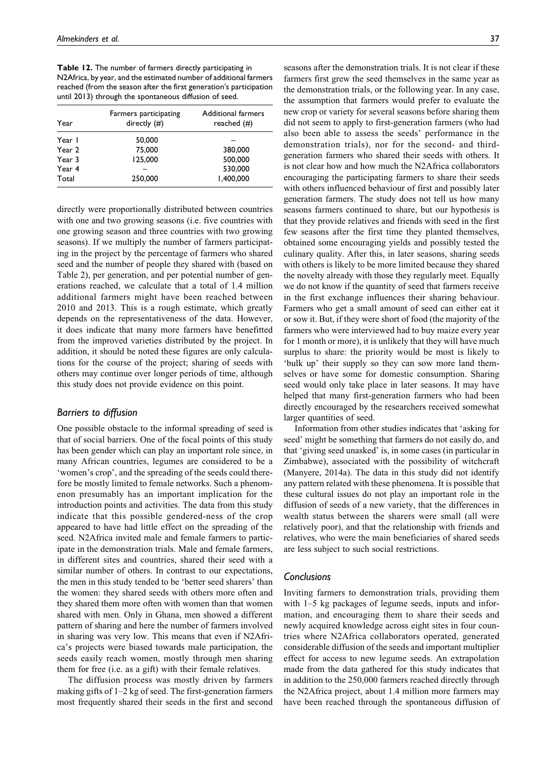Table 12. The number of farmers directly participating in N2Africa, by year, and the estimated number of additional farmers reached (from the season after the first generation's participation until 2013) through the spontaneous diffusion of seed.

| Year   | Farmers participating<br>directly $(#)$ | Additional farmers<br>reached $(\#)$ |
|--------|-----------------------------------------|--------------------------------------|
| Year I | 50,000                                  |                                      |
| Year 2 | 75,000                                  | 380,000                              |
| Year 3 | 125,000                                 | 500,000                              |
| Year 4 |                                         | 530,000                              |
| Total  | 250,000                                 | 1,400,000                            |

directly were proportionally distributed between countries with one and two growing seasons *(i.e. five countries with* one growing season and three countries with two growing seasons). If we multiply the number of farmers participating in the project by the percentage of farmers who shared seed and the number of people they shared with (based on Table 2), per generation, and per potential number of generations reached, we calculate that a total of 1.4 million additional farmers might have been reached between 2010 and 2013. This is a rough estimate, which greatly depends on the representativeness of the data. However, it does indicate that many more farmers have benefitted from the improved varieties distributed by the project. In addition, it should be noted these figures are only calculations for the course of the project; sharing of seeds with others may continue over longer periods of time, although this study does not provide evidence on this point.

### Barriers to diffusion

One possible obstacle to the informal spreading of seed is that of social barriers. One of the focal points of this study has been gender which can play an important role since, in many African countries, legumes are considered to be a 'women's crop', and the spreading of the seeds could therefore be mostly limited to female networks. Such a phenomenon presumably has an important implication for the introduction points and activities. The data from this study indicate that this possible gendered-ness of the crop appeared to have had little effect on the spreading of the seed. N2Africa invited male and female farmers to participate in the demonstration trials. Male and female farmers, in different sites and countries, shared their seed with a similar number of others. In contrast to our expectations, the men in this study tended to be 'better seed sharers' than the women: they shared seeds with others more often and they shared them more often with women than that women shared with men. Only in Ghana, men showed a different pattern of sharing and here the number of farmers involved in sharing was very low. This means that even if N2Africa's projects were biased towards male participation, the seeds easily reach women, mostly through men sharing them for free (i.e. as a gift) with their female relatives.

The diffusion process was mostly driven by farmers making gifts of 1–2 kg of seed. The first-generation farmers most frequently shared their seeds in the first and second

seasons after the demonstration trials. It is not clear if these farmers first grew the seed themselves in the same year as the demonstration trials, or the following year. In any case, the assumption that farmers would prefer to evaluate the new crop or variety for several seasons before sharing them did not seem to apply to first-generation farmers (who had also been able to assess the seeds' performance in the demonstration trials), nor for the second- and thirdgeneration farmers who shared their seeds with others. It is not clear how and how much the N2Africa collaborators encouraging the participating farmers to share their seeds with others influenced behaviour of first and possibly later generation farmers. The study does not tell us how many seasons farmers continued to share, but our hypothesis is that they provide relatives and friends with seed in the first few seasons after the first time they planted themselves, obtained some encouraging yields and possibly tested the culinary quality. After this, in later seasons, sharing seeds with others is likely to be more limited because they shared the novelty already with those they regularly meet. Equally we do not know if the quantity of seed that farmers receive in the first exchange influences their sharing behaviour. Farmers who get a small amount of seed can either eat it or sow it. But, if they were short of food (the majority of the farmers who were interviewed had to buy maize every year for 1 month or more), it is unlikely that they will have much surplus to share: the priority would be most is likely to 'bulk up' their supply so they can sow more land themselves or have some for domestic consumption. Sharing seed would only take place in later seasons. It may have helped that many first-generation farmers who had been directly encouraged by the researchers received somewhat larger quantities of seed.

Information from other studies indicates that 'asking for seed' might be something that farmers do not easily do, and that 'giving seed unasked' is, in some cases (in particular in Zimbabwe), associated with the possibility of witchcraft (Manyere, 2014a). The data in this study did not identify any pattern related with these phenomena. It is possible that these cultural issues do not play an important role in the diffusion of seeds of a new variety, that the differences in wealth status between the sharers were small (all were relatively poor), and that the relationship with friends and relatives, who were the main beneficiaries of shared seeds are less subject to such social restrictions.

### **Conclusions**

Inviting farmers to demonstration trials, providing them with 1–5 kg packages of legume seeds, inputs and information, and encouraging them to share their seeds and newly acquired knowledge across eight sites in four countries where N2Africa collaborators operated, generated considerable diffusion of the seeds and important multiplier effect for access to new legume seeds. An extrapolation made from the data gathered for this study indicates that in addition to the 250,000 farmers reached directly through the N2Africa project, about 1.4 million more farmers may have been reached through the spontaneous diffusion of